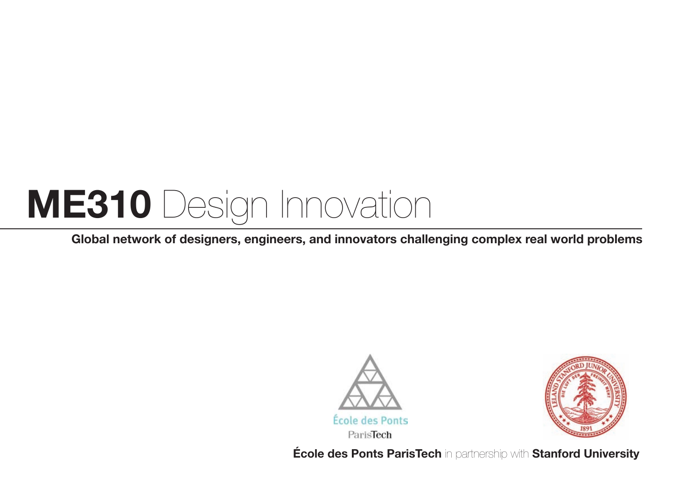### **ME310** Design Innovation

**Global network of designers, engineers, and innovators challenging complex real world problems**





**École des Ponts ParisTech** in partnership with **Stanford University**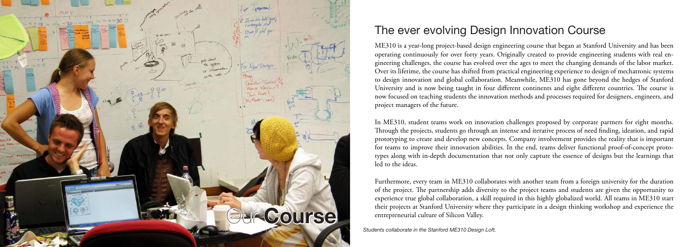#### The ever evolving Design Innovation Course

ME310 is a year-long project-based design engineering course that began at Stanford University and has been operating continuously for over forty years. Originally created to provide engineering students with real engineering challenges, the course has evolved over the ages to meet the changing demands of the labor market. Over its lifetime, the course has shifted from practical engineering experience to design of mechatronic systems to design innovation and global collaboration. Meanwhile, ME310 has gone beyond the hedges of Stanford University and is now being taught in four different continents and eight different countries. The course is now focused on teaching students the innovation methods and processes required for designers, engineers, and project managers of the future.

In ME310, student teams work on innovation challenges proposed by corporate partners for eight months. Through the projects, students go through an intense and iterative process of need finding, ideation, and rapid prototyping to create and develop new concepts. Company involvement provides the reality that is important for teams to improve their innovation abilities. In the end, teams deliver functional proof-of-concept prototypes along with in-depth documentation that not only capture the essence of designs but the learnings that led to the ideas.

Furthermore, every team in ME310 collaborates with another team from a foreign university for the duration of the project. The partnership adds diversity to the project teams and students are given the opportunity to experience true global collaboration, a skill required in this highly globalized world. All teams in ME310 start their projects at Stanford University where they participate in a design thinking workshop and experience the entrepreneurial culture of Silicon Valley.

*Students collaborate in the Stanford ME310 Design Loft.*

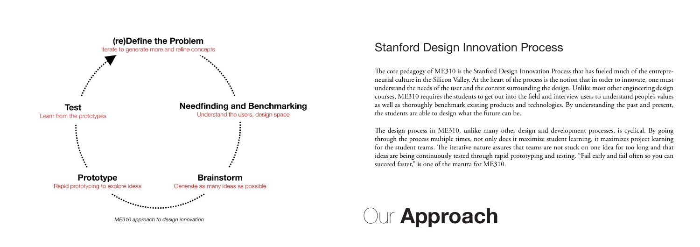#### Stanford Design Innovation Process



The core pedagogy of ME310 is the Stanford Design Innovation Process that has fueled much of the entrepreneurial culture in the Silicon Valley. At the heart of the process is the notion that in order to innovate, one must understand the needs of the user and the context surrounding the design. Unlike most other engineering design courses, ME310 requires the students to get out into the field and interview users to understand people's values as well as thoroughly benchmark existing products and technologies. By understanding the past and present, the students are able to design what the future can be.

The design process in ME310, unlike many other design and development processes, is cyclical. By going through the process multiple times, not only does it maximize student learning, it maximizes project learning for the student teams. The iterative nature assures that teams are not stuck on one idea for too long and that ideas are being continuously tested through rapid prototyping and testing. "Fail early and fail often so you can succeed faster," is one of the mantra for ME310.

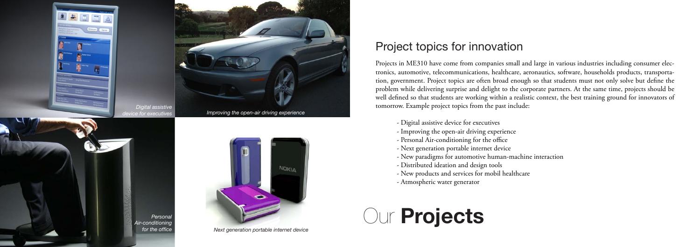Projects in ME310 have come from companies small and large in various industries including consumer electronics, automotive, telecommunications, healthcare, aeronautics, software, households products, transportation, government. Project topics are often broad enough so that students must not only solve but define the problem while delivering surprise and delight to the corporate partners. At the same time, projects should be well defined so that students are working within a realistic context, the best training ground for innovators of tomorrow. Example project topics from the past include:

- Digital assistive device for executives
- Improving the open-air driving experience
- Personal Air-conditioning for the office
- Next generation portable internet device
- New paradigms for automotive human-machine interaction
- Distributed ideation and design tools
- New products and services for mobil healthcare
- Atmospheric water generator

#### Project topics for innovation

# Our **Projects**



*Next generation portable internet device*



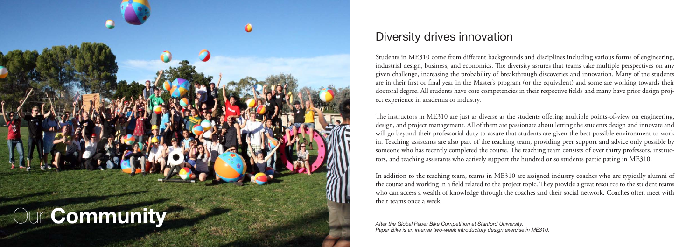

#### Diversity drives innovation

Students in ME310 come from different backgrounds and disciplines including various forms of engineering, industrial design, business, and economics. The diversity assures that teams take multiple perspectives on any given challenge, increasing the probability of breakthrough discoveries and innovation. Many of the students are in their first or final year in the Master's program (or the equivalent) and some are working towards their doctoral degree. All students have core competencies in their respective fields and many have prior design proj ect experience in academia or industry.

The instructors in ME310 are just as diverse as the students offering multiple points-of-view on engineering, design, and project management. All of them are passionate about letting the students design and innovate and will go beyond their professorial duty to assure that students are given the best possible environment to work in. Teaching assistants are also part of the teaching team, providing peer support and advice only possible by someone who has recently completed the course. The teaching team consists of over thirty professors, instruc tors, and teaching assistants who actively support the hundred or so students participating in ME310.

In addition to the teaching team, teams in ME310 are assigned industry coaches who are typically alumni of the course and working in a field related to the project topic. They provide a great resource to the student teams who can access a wealth of knowledge through the coaches and their social network. Coaches often meet with their teams once a week.

*After the Global Paper Bike Competition at Stanford University. Paper Bike is an intense two-week introductory design exercise in ME310.*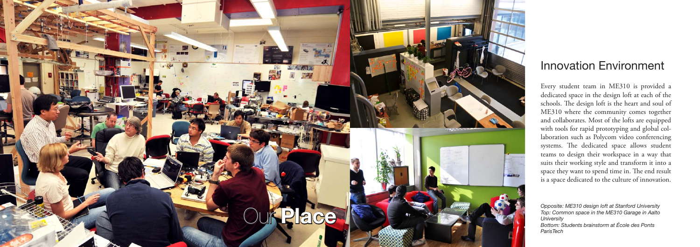# Our **Place**

#### Innovation Environment

Every student team in ME310 is provided a dedicated space in the design loft at each of the schools. The design loft is the heart and soul of ME310 where the community comes together and collaborates. Most of the lofts are equipped with tools for rapid prototyping and global col laboration such as Polycom video conferencing systems. The dedicated space allows student teams to design their workspace in a way that suits their working style and transform it into a space they want to spend time in. The end result is a space dedicated to the culture of innovation.

*Opposite: ME310 design loft at Stanford University Top: Common space in the ME310 Garage in Aalto University Bottom: Students brainstorm at École des Ponts ParisTech*

**GAMES**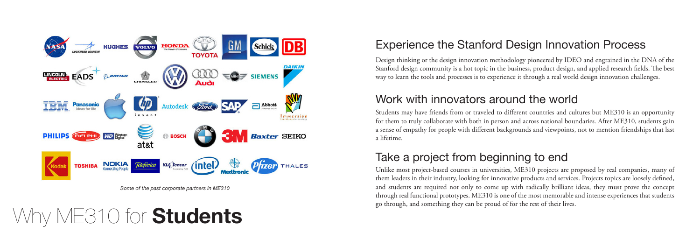## Why ME310 for **Students**



*Some of the past corporate partners in ME310*

### Experience the Stanford Design Innovation Process

#### Work with innovators around the world

Students may have friends from or traveled to different countries and cultures but ME310 is an opportunity for them to truly collaborate with both in person and across national boundaries. After ME310, students gain a sense of empathy for people with different backgrounds and viewpoints, not to mention friendships that last a lifetime.

Unlike most project-based courses in universities, ME310 projects are proposed by real companies, many of them leaders in their industry, looking for innovative products and services. Projects topics are loosely defined, and students are required not only to come up with radically brilliant ideas, they must prove the concept through real functional prototypes. ME310 is one of the most memorable and intense experiences that students go through, and something they can be proud of for the rest of their lives.

Design thinking or the design innovation methodology pioneered by IDEO and engrained in the DNA of the Stanford design community is a hot topic in the business, product design, and applied research fields. The best way to learn the tools and processes is to experience it through a real world design innovation challenges.

### Take a project from beginning to end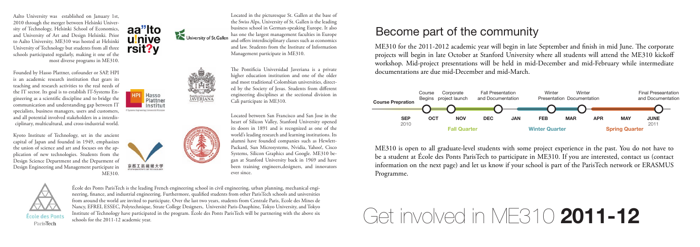# Get involved in ME310 **2011-12**

### Become part of the community

ME310 for the 2011-2012 academic year will begin in late September and finish in mid June. The corporate projects will begin in late October at Stanford University where all students will attend the ME310 kickoff workshop. Mid-project presentations will be held in mid-December and mid-February while intermediate documentations are due mid-December and mid-March.

ME310 is open to all graduate-level students with some project experience in the past. You do not have to be a student at École des Ponts ParisTech to participate in ME310. If you are interested, contact us (contact information on the next page) and let us know if your school is part of the ParisTech network or ERASMUS Programme.



Founded by Hasso Plattner, cofounder or SAP, HPI is an academic research institution that gears its teaching and research activities to the real needs of the IT sector. Its goal is to establish IT-Systems Engineering as a scientific discipline and to bridge the communication and understanding gap between IT specialists, business managers, users and customers, and all potential involved stakeholders in a interdisciplinary, multicultural, and cross-industrial world.

Located between San Francisco and San Jose in the heart of Silicon Valley, Stanford University opened its doors in 1891 and is recognized as one of the world's leading research and learning institutions. Its alumni have founded companies such as Hewlett-Packard, Sun Microsystems, Nvidia, Yahoo!, Cisco Systems, Silicon Graphics and Google. ME310 began at Stanford University back in 1969 and have been training engineers,designers, and innovators ever since.



Kyoto Institute of Technology, set in the ancient capital of Japan and founded in 1949, emphasizes the union of science and art and focuses on the application of new technologies. Students from the Design Science Department and the Deparment of Design Engineering and Management participate in ME310.







Aalto University was established on January 1st, 2010 through the merger between Helsinki University of Technology, Helsinki School of Economics, and University of Art and Design Helsinki. Prior to Aalto University, ME310 was hosted at Helsinki University of Technology but students from all three schools participated regularly, making it one of the most diverse programs in ME310.

> The Pontificia Universidad Javeriana is a private higher education institution and one of the older and most traditional Colombian universities, directed by the Society of Jesus. Students from different engineering disciplines at the sectional division in Cali participate in ME310.

École des Ponts ParisTech is the leading French engineering school in civil engineering, urban planning, mechanical engineering, finance, and industrial engineering. Furthermore, qualified students from other ParisTech schools and universities from around the world are invited to participate. Over the last two years, students from Centrale Paris, Ecole des Mines de Nancy, EFREI, ESSEC, Polytechnique, Strate College Designers, Université Paris-Dauphine, Tokyo University, and Tokyo Institute of Technology have participated in the program. École des Ponts ParisTech will be partnering with the above six schools for the 2011-12 academic year.

Pontificia Universidad<br>JAVERIANA

Located in the picturesque St. Gallen at the base of the Swiss Alps, University of St. Gallen is the leading business school in German-speaking Europe. It also has one the largest management faculties in Europe and offers interdisciplinary classes such as economics and law. Students from the Institute of Information Management participate in ME310.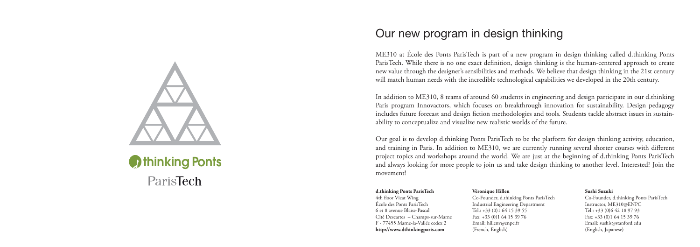### **D**thinking Ponts ParisTech

#### Our new program in design thinking

ME310 at École des Ponts ParisTech is part of a new program in design thinking called d.thinking Ponts ParisTech. While there is no one exact definition, design thinking is the human-centered approach to create new value through the designer's sensibilities and methods. We believe that design thinking in the 21st century will match human needs with the incredible technological capabilities we developed in the 20th century.

In addition to ME310, 8 teams of around 60 students in engineering and design participate in our d.thinking Paris program Innovactors, which focuses on breakthrough innovation for sustainability. Design pedagogy includes future forecast and design fiction methodologies and tools. Students tackle abstract issues in sustainability to conceptualize and visualize new realistic worlds of the future.

Our goal is to develop d.thinking Ponts ParisTech to be the platform for design thinking activity, education, and training in Paris. In addition to ME310, we are currently running several shorter courses with different project topics and workshops around the world. We are just at the beginning of d.thinking Ponts ParisTech and always looking for more people to join us and take design thinking to another level. Interested? Join the movement!

#### **d.thinking Ponts ParisTech**

4th floor Vicat Wing École des Ponts ParisTech 6 et 8 avenue Blaise-Pascal Cité Descartes – Champs-sur-Marne F - 77455 Marne-la-Vallée cedex 2 **http://www.dthinkingparis.com**

#### **Véronique Hillen**

Co-Founder, d.thinking Ponts ParisTech Industrial Engineering Department Tel.: +33 (0)1 64 15 39 55 Fax: +33 (0)1 64 15 39 76 Email: hillenv@enpc.fr (French, English)

#### **Sushi Suzuki**

Co-Founder, d.thinking Ponts ParisTech Instructor, ME310@ENPC Tel.: +33 (0)6 42 18 97 93 Fax: +33 (0)1 64 15 39 76 Email: sushis@stanford.edu (English, Japanese)